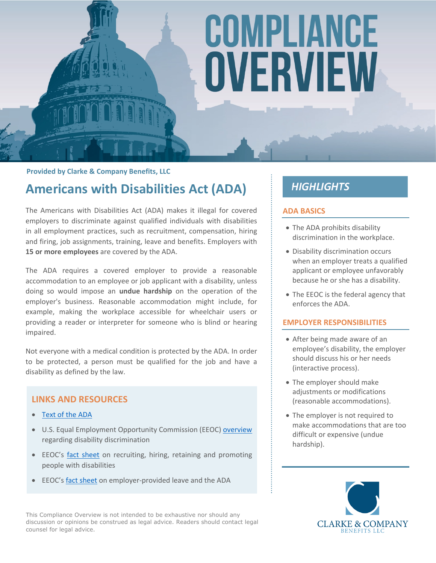# COMPLIANCE OVERVIEW

**Provided by Clarke & Company Benefits, LLC**

## **Americans with Disabilities Act (ADA)**

The Americans with Disabilities Act (ADA) makes it illegal for covered employers to discriminate against qualified individuals with disabilities in all employment practices, such as recruitment, compensation, hiring and firing, job assignments, training, leave and benefits. Employers with **15 or more employees** are covered by the ADA.

The ADA requires a covered employer to provide a reasonable accommodation to an employee or job applicant with a disability, unless doing so would impose an **undue hardship** on the operation of the employer's business. Reasonable accommodation might include, for example, making the workplace accessible for wheelchair users or providing a reader or interpreter for someone who is blind or hearing impaired.

Not everyone with a medical condition is protected by the ADA. In order to be protected, a person must be qualified for the job and have a disability as defined by the law.

#### **LINKS AND RESOURCES**

- [Text of the ADA](https://www.eeoc.gov/laws/statutes/ada.cfm)
- U.S. Equal Employment Opportunity Commission (EEOC) [overview](https://www.eeoc.gov/laws/types/disability.cfm) regarding disability discrimination
- **EEOC's [fact sheet](https://www.eeoc.gov/eeoc/publications/fs-ada.cfm) on recruiting, hiring, retaining and promoting** people with disabilities
- EEOC's [fact sheet](https://www.eeoc.gov/eeoc/publications/ada-leave.cfm) on employer-provided leave and the ADA

This Compliance Overview is not intended to be exhaustive nor should any discussion or opinions be construed as legal advice. Readers should contact legal counsel for legal advice.

### **HIGHLIGHTS**

#### **ADA BASICS**

- The ADA prohibits disability discrimination in the workplace.
- Disability discrimination occurs when an employer treats a qualified applicant or employee unfavorably because he or she has a disability.
- The EEOC is the federal agency that enforces the ADA.

#### **EMPLOYER RESPONSIBILITIES**

- After being made aware of an employee's disability, the employer should discuss his or her needs (interactive process).
- The employer should make adjustments or modifications (reasonable accommodations).
- The employer is not required to make accommodations that are too difficult or expensive (undue hardship).

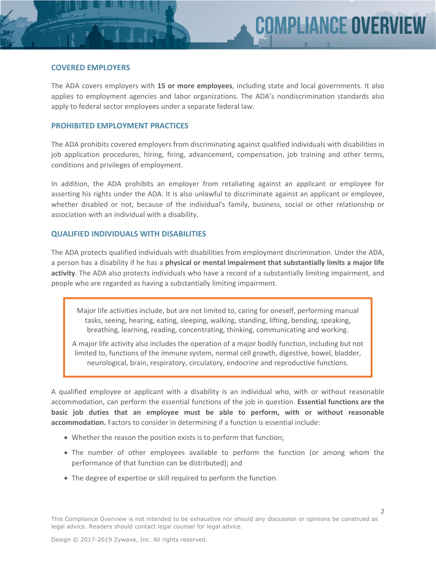#### **COVERED EMPLOYERS**

The ADA covers employers with **15 or more employees**, including state and local governments. It also applies to employment agencies and labor organizations. The ADA's nondiscrimination standards also apply to federal sector employees under a separate federal law.

#### **PROHIBITED EMPLOYMENT PRACTICES**

The ADA prohibits covered employers from discriminating against qualified individuals with disabilities in job application procedures, hiring, firing, advancement, compensation, job training and other terms, conditions and privileges of employment.

In addition, the ADA prohibits an employer from retaliating against an applicant or employee for asserting his rights under the ADA. It is also unlawful to discriminate against an applicant or employee, whether disabled or not, because of the individual's family, business, social or other relationship or association with an individual with a disability.

#### **QUALIFIED INDIVIDUALS WITH DISABILITIES**

The ADA protects qualified individuals with disabilities from employment discrimination. Under the ADA, a person has a disability if he has a **physical or mental impairment that substantially limits a major life activity**. The ADA also protects individuals who have a record of a substantially limiting impairment, and people who are regarded as having a substantially limiting impairment.

Major life activities include, but are not limited to, caring for oneself, performing manual tasks, seeing, hearing, eating, sleeping, walking, standing, lifting, bending, speaking, breathing, learning, reading, concentrating, thinking, communicating and working.

A major life activity also includes the operation of a major bodily function, including but not limited to, functions of the immune system, normal cell growth, digestive, bowel, bladder, neurological, brain, respiratory, circulatory, endocrine and reproductive functions.

A qualified employee or applicant with a disability is an individual who, with or without reasonable accommodation, can perform the essential functions of the job in question. **Essential functions are the basic job duties that an employee must be able to perform, with or without reasonable accommodation.** Factors to consider in determining if a function is essential include:

- Whether the reason the position exists is to perform that function;
- The number of other employees available to perform the function (or among whom the performance of that function can be distributed); and
- The degree of expertise or skill required to perform the function.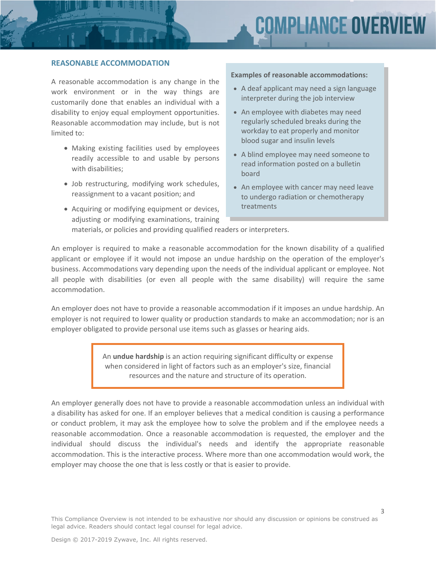#### **REASONABLE ACCOMMODATION**

A reasonable accommodation is any change in the work environment or in the way things are customarily done that enables an individual with a disability to enjoy equal employment opportunities. Reasonable accommodation may include, but is not limited to:

- Making existing facilities used by employees readily accessible to and usable by persons with disabilities;
- Job restructuring, modifying work schedules, reassignment to a vacant position; and
- Acquiring or modifying equipment or devices, adjusting or modifying examinations, training

#### **Examples of reasonable accommodations:**

- A deaf applicant may need a sign language interpreter during the job interview
- An employee with diabetes may need regularly scheduled breaks during the workday to eat properly and monitor blood sugar and insulin levels
- A blind employee may need someone to read information posted on a bulletin board
- An employee with cancer may need leave to undergo radiation or chemotherapy treatments

materials, or policies and providing qualified readers or interpreters.

An employer is required to make a reasonable accommodation for the known disability of a qualified applicant or employee if it would not impose an undue hardship on the operation of the employer's business. Accommodations vary depending upon the needs of the individual applicant or employee. Not all people with disabilities (or even all people with the same disability) will require the same accommodation.

An employer does not have to provide a reasonable accommodation if it imposes an undue hardship. An employer is not required to lower quality or production standards to make an accommodation; nor is an employer obligated to provide personal use items such as glasses or hearing aids.

> An **undue hardship** is an action requiring significant difficulty or expense when considered in light of factors such as an employer's size, financial resources and the nature and structure of its operation.

An employer generally does not have to provide a reasonable accommodation unless an individual with a disability has asked for one. If an employer believes that a medical condition is causing a performance or conduct problem, it may ask the employee how to solve the problem and if the employee needs a reasonable accommodation. Once a reasonable accommodation is requested, the employer and the individual should discuss the individual's needs and identify the appropriate reasonable accommodation. This is the interactive process. Where more than one accommodation would work, the employer may choose the one that is less costly or that is easier to provide.

This Compliance Overview is not intended to be exhaustive nor should any discussion or opinions be construed as legal advice. Readers should contact legal counsel for legal advice.